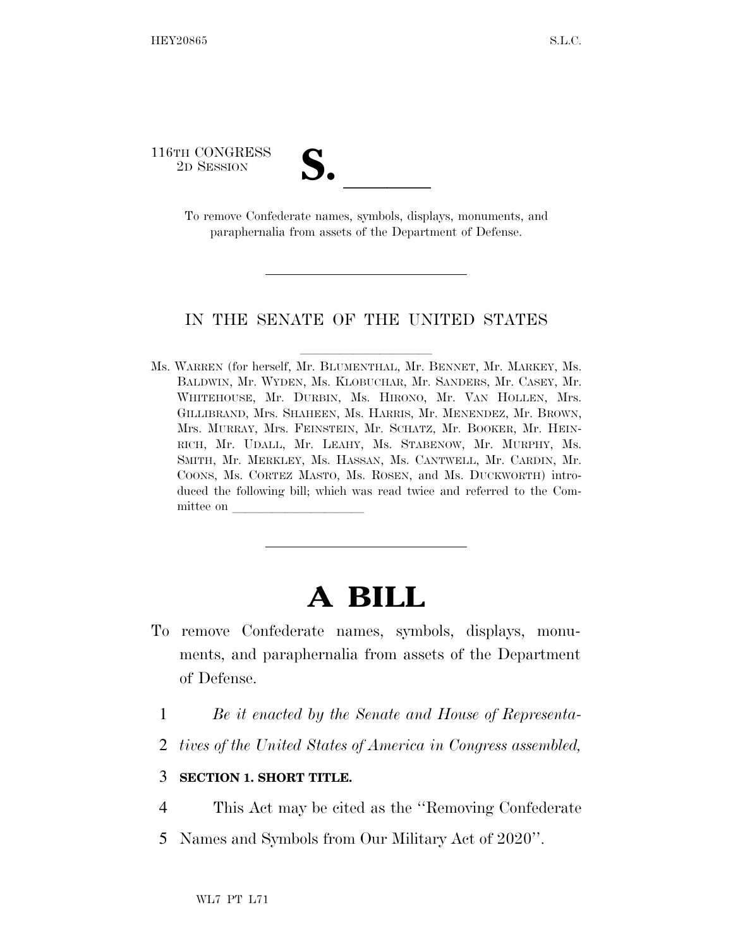116TH CONGRESS

TH CONGRESS<br>
2D SESSION<br>
To remove Confederate names, symbols, displays, monuments, and paraphernalia from assets of the Department of Defense.

## IN THE SENATE OF THE UNITED STATES

Ms. WARREN (for herself, Mr. BLUMENTHAL, Mr. BENNET, Mr. MARKEY, Ms. BALDWIN, Mr. WYDEN, Ms. KLOBUCHAR, Mr. SANDERS, Mr. CASEY, Mr. WHITEHOUSE, Mr. DURBIN, Ms. HIRONO, Mr. VAN HOLLEN, Mrs. GILLIBRAND, Mrs. SHAHEEN, Ms. HARRIS, Mr. MENENDEZ, Mr. BROWN, Mrs. MURRAY, Mrs. FEINSTEIN, Mr. SCHATZ, Mr. BOOKER, Mr. HEIN-RICH, Mr. UDALL, Mr. LEAHY, Ms. STABENOW, Mr. MURPHY, Ms. SMITH, Mr. MERKLEY, Ms. HASSAN, Ms. CANTWELL, Mr. CARDIN, Mr. COONS, Ms. CORTEZ MASTO, Ms. ROSEN, and Ms. DUCKWORTH) introduced the following bill; which was read twice and referred to the Committee on

## **A BILL**

- To remove Confederate names, symbols, displays, monuments, and paraphernalia from assets of the Department of Defense.
	- 1 *Be it enacted by the Senate and House of Representa-*
	- 2 *tives of the United States of America in Congress assembled,*

## 3 **SECTION 1. SHORT TITLE.**

- 4 This Act may be cited as the ''Removing Confederate
- 5 Names and Symbols from Our Military Act of 2020''.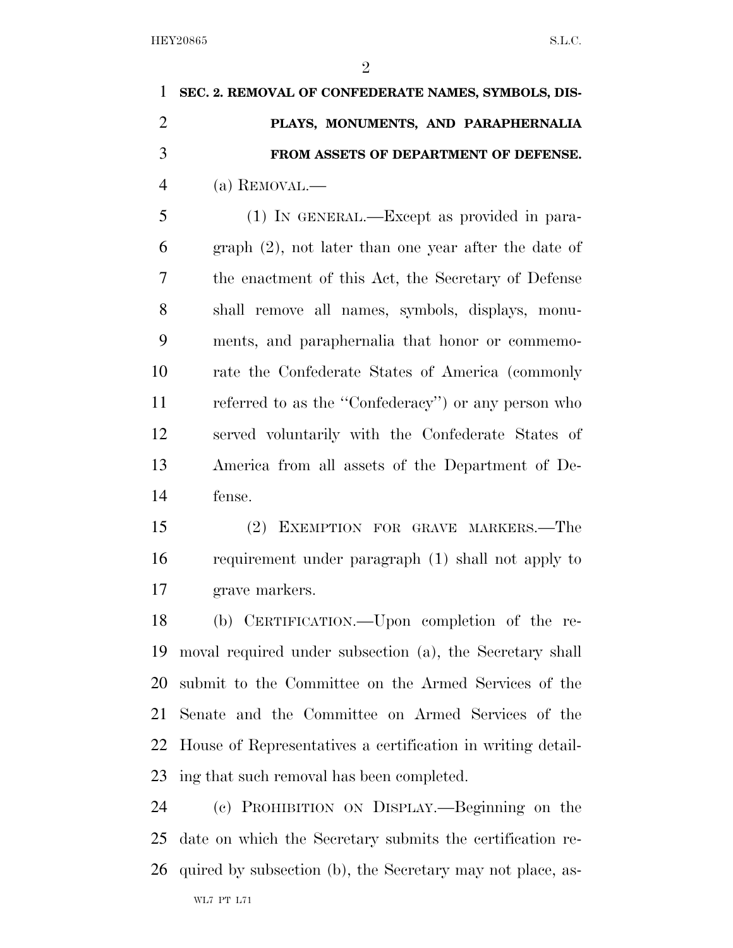$\mathfrak{D}$ 

 **SEC. 2. REMOVAL OF CONFEDERATE NAMES, SYMBOLS, DIS- PLAYS, MONUMENTS, AND PARAPHERNALIA FROM ASSETS OF DEPARTMENT OF DEFENSE.**  (a) REMOVAL.— (1) IN GENERAL.—Except as provided in para- graph (2), not later than one year after the date of the enactment of this Act, the Secretary of Defense

 shall remove all names, symbols, displays, monu- ments, and paraphernalia that honor or commemo- rate the Confederate States of America (commonly referred to as the ''Confederacy'') or any person who served voluntarily with the Confederate States of America from all assets of the Department of De-fense.

 (2) EXEMPTION FOR GRAVE MARKERS.—The requirement under paragraph (1) shall not apply to grave markers.

 (b) CERTIFICATION.—Upon completion of the re- moval required under subsection (a), the Secretary shall submit to the Committee on the Armed Services of the Senate and the Committee on Armed Services of the House of Representatives a certification in writing detail-ing that such removal has been completed.

 (c) PROHIBITION ON DISPLAY.—Beginning on the date on which the Secretary submits the certification re-quired by subsection (b), the Secretary may not place, as